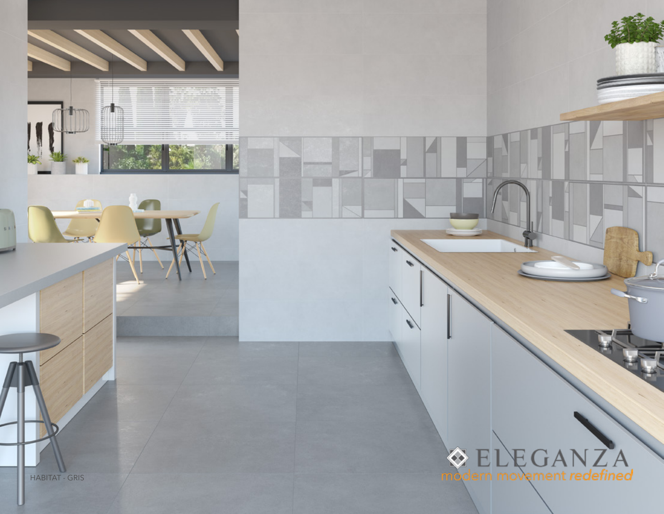

 $\sum_{\text{dern movement} } A$  $\hat{\diamond}$ mo

HABITAT - GRIS

 $53$